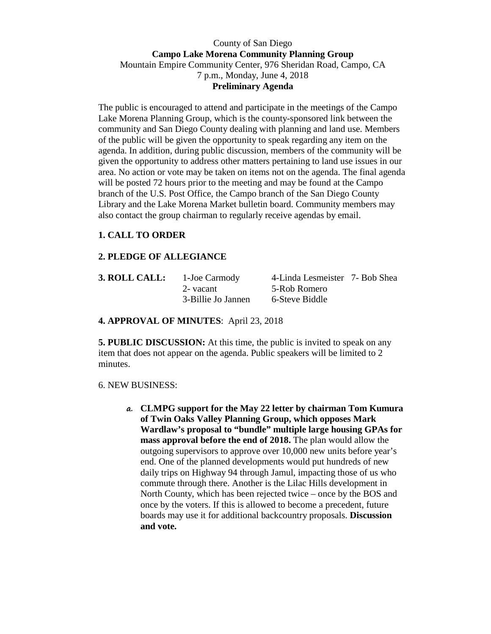## County of San Diego **Campo Lake Morena Community Planning Group**  Mountain Empire Community Center, 976 Sheridan Road, Campo, CA 7 p.m., Monday, June 4, 2018 **Preliminary Agenda**

The public is encouraged to attend and participate in the meetings of the Campo Lake Morena Planning Group, which is the county-sponsored link between the community and San Diego County dealing with planning and land use. Members of the public will be given the opportunity to speak regarding any item on the agenda. In addition, during public discussion, members of the community will be given the opportunity to address other matters pertaining to land use issues in our area. No action or vote may be taken on items not on the agenda. The final agenda will be posted 72 hours prior to the meeting and may be found at the Campo branch of the U.S. Post Office, the Campo branch of the San Diego County Library and the Lake Morena Market bulletin board. Community members may also contact the group chairman to regularly receive agendas by email.

# **1. CALL TO ORDER**

### **2. PLEDGE OF ALLEGIANCE**

| 3. ROLL CALL: | 1-Joe Carmody      | 4-Linda Lesmeister 7- Bob Shea |  |
|---------------|--------------------|--------------------------------|--|
|               | 2-vacant           | 5-Rob Romero                   |  |
|               | 3-Billie Jo Jannen | 6-Steve Biddle                 |  |

### **4. APPROVAL OF MINUTES**: April 23, 2018

**5. PUBLIC DISCUSSION:** At this time, the public is invited to speak on any item that does not appear on the agenda. Public speakers will be limited to 2 minutes.

#### 6. NEW BUSINESS:

**a. CLMPG support for the May 22 letter by chairman Tom Kumura of Twin Oaks Valley Planning Group, which opposes Mark Wardlaw's proposal to "bundle" multiple large housing GPAs for mass approval before the end of 2018.** The plan would allow the outgoing supervisors to approve over 10,000 new units before year's end. One of the planned developments would put hundreds of new daily trips on Highway 94 through Jamul, impacting those of us who commute through there. Another is the Lilac Hills development in North County, which has been rejected twice – once by the BOS and once by the voters. If this is allowed to become a precedent, future boards may use it for additional backcountry proposals. **Discussion and vote.**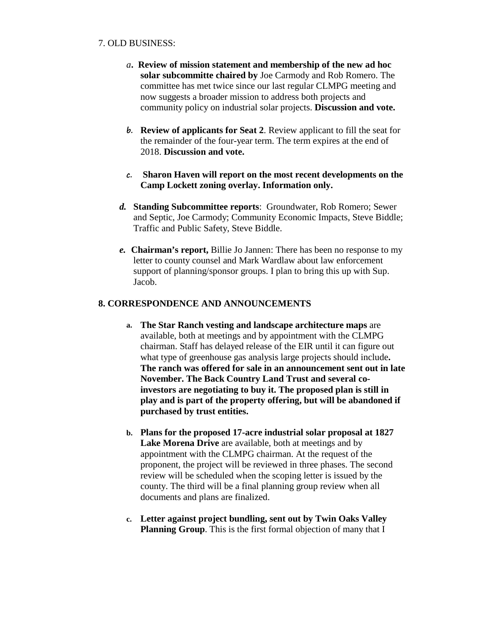### 7. OLD BUSINESS:

- *a***. Review of mission statement and membership of the new ad hoc solar subcommitte chaired by** Joe Carmody and Rob Romero. The committee has met twice since our last regular CLMPG meeting and now suggests a broader mission to address both projects and community policy on industrial solar projects. **Discussion and vote.**
- **b. Review of applicants for Seat 2**. Review applicant to fill the seat for the remainder of the four-year term. The term expires at the end of 2018. **Discussion and vote.**
- **c. Sharon Haven will report on the most recent developments on the Camp Lockett zoning overlay. Information only.**
- *d.* **Standing Subcommittee reports**: Groundwater, Rob Romero; Sewer and Septic, Joe Carmody; Community Economic Impacts, Steve Biddle; Traffic and Public Safety, Steve Biddle.
- *e.* **Chairman's report,** Billie Jo Jannen: There has been no response to my letter to county counsel and Mark Wardlaw about law enforcement support of planning/sponsor groups. I plan to bring this up with Sup. Jacob.

## **8. CORRESPONDENCE AND ANNOUNCEMENTS**

- **a. The Star Ranch vesting and landscape architecture maps** are available, both at meetings and by appointment with the CLMPG chairman. Staff has delayed release of the EIR until it can figure out what type of greenhouse gas analysis large projects should include**. The ranch was offered for sale in an announcement sent out in late November. The Back Country Land Trust and several coinvestors are negotiating to buy it. The proposed plan is still in play and is part of the property offering, but will be abandoned if purchased by trust entities.**
- **b. Plans for the proposed 17-acre industrial solar proposal at 1827 Lake Morena Drive** are available, both at meetings and by appointment with the CLMPG chairman. At the request of the proponent, the project will be reviewed in three phases. The second review will be scheduled when the scoping letter is issued by the county. The third will be a final planning group review when all documents and plans are finalized.
- **c. Letter against project bundling, sent out by Twin Oaks Valley Planning Group**. This is the first formal objection of many that I